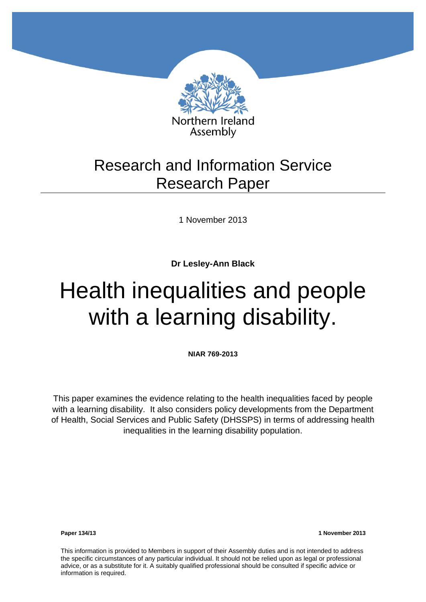

## Research and Information Service Research Paper

1 November 2013

**Dr Lesley-Ann Black** 

# Health inequalities and people with a learning disability.

**NIAR 769-2013**

This paper examines the evidence relating to the health inequalities faced by people with a learning disability. It also considers policy developments from the Department of Health, Social Services and Public Safety (DHSSPS) in terms of addressing health inequalities in the learning disability population.

**Paper 134/13 1 November 2013**

This information is provided to Members in support of their Assembly duties and is not intended to address the specific circumstances of any particular individual. It should not be relied upon as legal or professional advice, or as a substitute for it. A suitably qualified professional should be consulted if specific advice or information is required.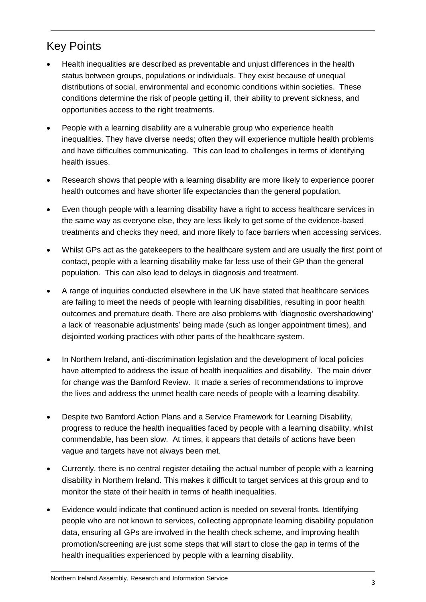### Key Points

- [Health inequalities](http://www.health-inequalities.eu/HEALTHEQUITY/EN/about_hi/glossary/) are described as preventable and unjust differences in the health status between groups, populations or individuals. They exist because of unequal distributions of social, environmental and economic conditions within societies. These conditions determine the risk of people getting ill, their ability to prevent sickness, and opportunities access to the right treatments.
- People with a learning disability are a vulnerable group who experience health inequalities. They have diverse needs; often they will experience multiple health problems and have difficulties communicating. This can lead to challenges in terms of identifying health issues.
- Research shows that people with a learning disability are more likely to experience poorer health outcomes and have shorter life expectancies than the general population.
- Even though people with a learning disability have a right to access healthcare services in the same way as everyone else, they are less likely to get some of the evidence-based treatments and checks they need, and more likely to face barriers when accessing services.
- Whilst GPs act as the gatekeepers to the healthcare system and are usually the first point of contact, people with a learning disability make far less use of their GP than the general population. This can also lead to delays in diagnosis and treatment.
- A range of inquiries conducted elsewhere in the UK have stated that healthcare services are failing to meet the needs of people with learning disabilities, resulting in poor health outcomes and premature death. There are also problems with 'diagnostic overshadowing' a lack of 'reasonable adjustments' being made (such as longer appointment times), and disjointed working practices with other parts of the healthcare system.
- In Northern Ireland, anti-discrimination legislation and the development of local policies have attempted to address the issue of health inequalities and disability. The main driver for change was the Bamford Review. It made a series of recommendations to improve the lives and address the unmet health care needs of people with a learning disability.
- Despite two Bamford Action Plans and a Service Framework for Learning Disability, progress to reduce the health inequalities faced by people with a learning disability, whilst commendable, has been slow. At times, it appears that details of actions have been vague and targets have not always been met.
- Currently, there is no central register detailing the actual number of people with a learning disability in Northern Ireland. This makes it difficult to target services at this group and to monitor the state of their health in terms of health inequalities.
- Evidence would indicate that continued action is needed on several fronts. Identifying people who are not known to services, collecting appropriate learning disability population data, ensuring all GPs are involved in the health check scheme, and improving health promotion/screening are just some steps that will start to close the gap in terms of the health inequalities experienced by people with a learning disability.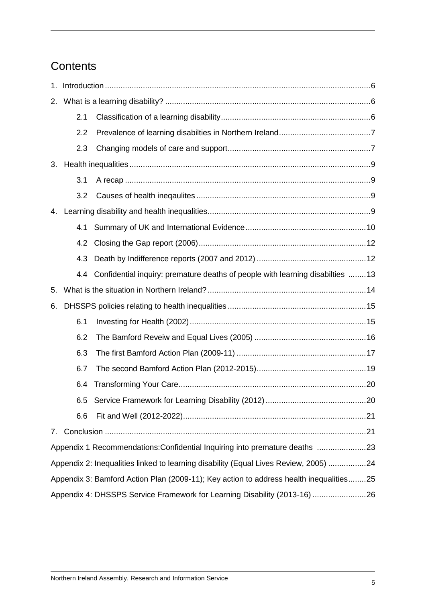### **Contents**

| 2.                                                                                     |     |                                                                               |  |  |  |
|----------------------------------------------------------------------------------------|-----|-------------------------------------------------------------------------------|--|--|--|
|                                                                                        | 2.1 |                                                                               |  |  |  |
|                                                                                        | 2.2 |                                                                               |  |  |  |
|                                                                                        | 2.3 |                                                                               |  |  |  |
| 3.                                                                                     |     |                                                                               |  |  |  |
|                                                                                        | 3.1 |                                                                               |  |  |  |
|                                                                                        | 3.2 |                                                                               |  |  |  |
| 4.                                                                                     |     |                                                                               |  |  |  |
|                                                                                        | 4.1 |                                                                               |  |  |  |
|                                                                                        | 4.2 |                                                                               |  |  |  |
|                                                                                        | 4.3 |                                                                               |  |  |  |
|                                                                                        | 4.4 | Confidential inquiry: premature deaths of people with learning disabilties 13 |  |  |  |
| 5.                                                                                     |     |                                                                               |  |  |  |
| 6.                                                                                     |     |                                                                               |  |  |  |
|                                                                                        | 6.1 |                                                                               |  |  |  |
|                                                                                        | 6.2 |                                                                               |  |  |  |
|                                                                                        | 6.3 |                                                                               |  |  |  |
|                                                                                        | 6.7 |                                                                               |  |  |  |
|                                                                                        | 6.4 |                                                                               |  |  |  |
|                                                                                        |     |                                                                               |  |  |  |
|                                                                                        | 6.6 |                                                                               |  |  |  |
| 7.                                                                                     |     |                                                                               |  |  |  |
|                                                                                        |     | Appendix 1 Recommendations: Confidential Inquiring into premature deaths 23   |  |  |  |
| Appendix 2: Inequalities linked to learning disability (Equal Lives Review, 2005) 24   |     |                                                                               |  |  |  |
| Appendix 3: Bamford Action Plan (2009-11); Key action to address health inequalities25 |     |                                                                               |  |  |  |
|                                                                                        |     | Appendix 4: DHSSPS Service Framework for Learning Disability (2013-16) 26     |  |  |  |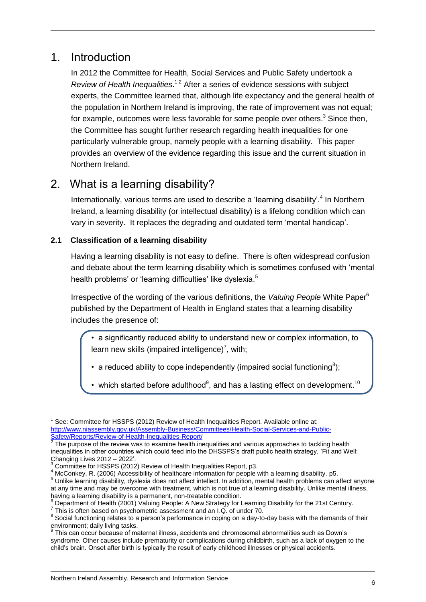### <span id="page-5-0"></span>1. Introduction

 $\overline{a}$ 

In 2012 the Committee for Health, Social Services and Public Safety undertook a *Review of Health Inequalities*. 1,2 After a series of evidence sessions with subject experts, the Committee learned that, although life expectancy and the general health of the population in Northern Ireland is improving, the rate of improvement was not equal; for example, outcomes were less favorable for some people over others.<sup>3</sup> Since then, the Committee has sought further research regarding health inequalities for one particularly vulnerable group, namely people with a learning disability. This paper provides an overview of the evidence regarding this issue and the current situation in Northern Ireland.

### <span id="page-5-1"></span>2. What is a learning disability?

Internationally, various terms are used to describe a 'learning disability'.<sup>4</sup> In Northern Ireland, a learning disability (or intellectual disability) is a lifelong condition which can vary in severity. It replaces the degrading and outdated term 'mental handicap'.

### <span id="page-5-2"></span>**2.1 Classification of a learning disability**

Having a learning disability is not easy to define. There is often widespread confusion and debate about the term learning disability which is sometimes confused with 'mental health problems' or 'learning difficulties' like dyslexia.<sup>5</sup>

Irrespective of the wording of the various definitions, the *Valuing People* White Paper<sup>6</sup> published by the Department of Health in England states that a learning disability includes the presence of:

• a significantly reduced ability to understand new or complex information, to learn new skills (impaired intelligence)<sup>7</sup>, with;

• a reduced ability to cope independently (impaired social functioning<sup>8</sup>);

• which started before adulthood<sup>9</sup>, and has a lasting effect on development.<sup>10</sup>

<sup>&</sup>lt;sup>1</sup> See: Committee for HSSPS (2012) Review of Health Inequalities Report. Available online at: [http://www.niassembly.gov.uk/Assembly-Business/Committees/Health-Social-Services-and-Public-](http://www.niassembly.gov.uk/Assembly-Business/Committees/Health-Social-Services-and-Public-Safety/Reports/Review-of-Health-Inequalities-Report/)[Safety/Reports/Review-of-Health-Inequalities-Report/](http://www.niassembly.gov.uk/Assembly-Business/Committees/Health-Social-Services-and-Public-Safety/Reports/Review-of-Health-Inequalities-Report/)

 $2$  The purpose of the review was to examine health inequalities and various approaches to tackling health inequalities in other countries which could feed into the DHSSPS's draft public health strategy, 'Fit and Well: Changing Lives 2012 – 2022'.

Committee for HSSPS (2012) Review of Health Inequalities Report. p3.

<sup>4</sup> McConkey, R. (2006) Accessibility of healthcare information for people with a learning disability. p5.

<sup>5</sup> Unlike learning disability, dyslexia does not affect intellect. In addition, mental health problems can affect anyone at any time and may be overcome with treatment, which is not true of a learning disability. Unlike mental illness, having a learning disability is a permanent, non-treatable condition.

<sup>&</sup>lt;sup>6</sup> Department of Health (2001) Valuing People: A New Strategy for Learning Disability for the 21st Century.

 $7$  This is often based on psychometric assessment and an I.Q. of under 70.

<sup>&</sup>lt;sup>8</sup> Social functioning relates to a person's performance in coping on a day-to-day basis with the demands of their environment; daily living tasks.<br><sup>9</sup> This can occur because of maternal illness, accidents and chromosomal abnormalities such as Down's

syndrome. Other causes include prematurity or complications during childbirth, such as a lack of oxygen to the child's brain. Onset after birth is typically the result of early childhood illnesses or physical accidents.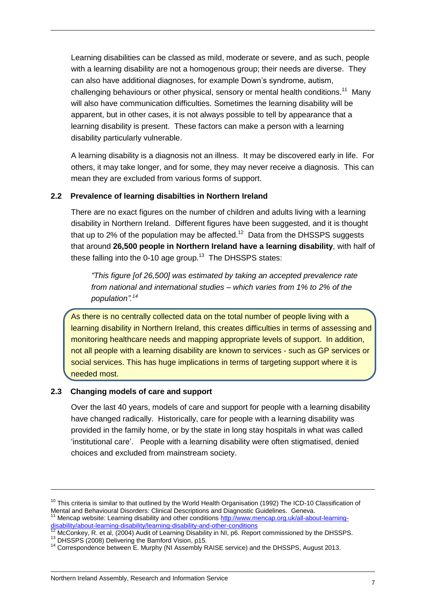Learning disabilities can be classed as mild, moderate or severe, and as such, people with a learning disability are not a homogenous group; their needs are diverse. They can also have additional diagnoses, for example Down's syndrome, autism, challenging behaviours or other physical, sensory or mental health conditions.<sup>11</sup> Many will also have communication difficulties. Sometimes the learning disability will be apparent, but in other cases, it is not always possible to tell by appearance that a learning disability is present. These factors can make a person with a learning disability particularly vulnerable.

A learning disability is a diagnosis not an illness. It may be discovered early in life. For others, it may take longer, and for some, they may never receive a diagnosis. This can mean they are excluded from various forms of support.

### <span id="page-6-0"></span>**2.2 Prevalence of learning disabilties in Northern Ireland**

There are no exact figures on the number of children and adults living with a learning disability in Northern Ireland. Different figures have been suggested, and it is thought that up to 2% of the population may be affected.<sup>12</sup> Data from the DHSSPS suggests that around **26,500 people in Northern Ireland have a learning disability**, with half of these falling into the 0-10 age group. $13$  The DHSSPS states:

*"This figure [of 26,500] was estimated by taking an accepted prevalence rate from national and international studies – which varies from 1% to 2% of the population". 14*

As there is no centrally collected data on the total number of people living with a learning disability in Northern Ireland, this creates difficulties in terms of assessing and monitoring healthcare needs and mapping appropriate levels of support. In addition, not all people with a learning disability are known to services - such as GP services or social services. This has huge implications in terms of targeting support where it is needed most.

### <span id="page-6-1"></span>**2.3 Changing models of care and support**

Over the last 40 years, models of care and support for people with a learning disability have changed radically. Historically, care for people with a learning disability was provided in the family home, or by the state in long stay hospitals in what was called 'institutional care'. People with a learning disability were often stigmatised, denied choices and excluded from mainstream society.

 $10$  This criteria is similar to that outlined by the World Health Organisation (1992) The ICD-10 Classification of Mental and Behavioural Disorders: Clinical Descriptions and Diagnostic Guidelines. Geneva.<br><sup>11</sup> Mencep website: Lectrice direct in: Mencap website: Learning disability and other conditions [http://www.mencap.org.uk/all-about-learning-](http://www.mencap.org.uk/all-about-learning-disability/about-learning-disability/learning-disability-and-other-conditions)

[disability/about-learning-disability/learning-disability-and-other-conditions](http://www.mencap.org.uk/all-about-learning-disability/about-learning-disability/learning-disability-and-other-conditions)  $12$  McConkey, R. et al, (2004) Audit of Learning Disability in NI, p6. Report commissioned by the DHSSPS.

<sup>&</sup>lt;sup>13</sup> DHSSPS (2008) Delivering the Bamford Vision, p15.

<sup>&</sup>lt;sup>14</sup> Correspondence between E. Murphy (NI Assembly RAISE service) and the DHSSPS, August 2013.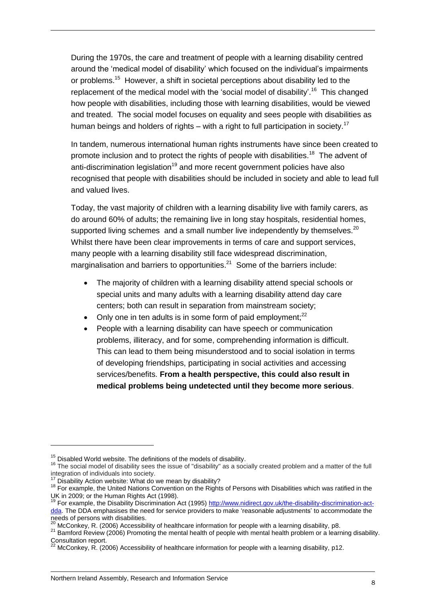During the 1970s, the care and treatment of people with a learning disability centred around the 'medical model of disability' which focused on the individual's impairments or problems.<sup>15</sup> However, a shift in societal perceptions about disability led to the replacement of the medical model with the 'social model of disability'.<sup>16</sup> This changed how people with disabilities, including those with learning disabilities, would be viewed and treated. The social model focuses on equality and sees people with disabilities as human beings and holders of rights – with a right to full participation in society.<sup>17</sup>

In tandem, numerous international human rights instruments have since been created to promote inclusion and to protect the rights of people with disabilities.<sup>18</sup> The advent of anti-discrimination legislation<sup>19</sup> and more recent government policies have also recognised that people with disabilities should be included in society and able to lead full and valued lives.

Today, the vast majority of children with a learning disability live with family carers, as do around 60% of adults; the remaining live in long stay hospitals, residential homes, supported living schemes and a small number live independently by themselves.<sup>20</sup> Whilst there have been clear improvements in terms of care and support services, many people with a learning disability still face widespread discrimination, marginalisation and barriers to opportunities.<sup>21</sup> Some of the barriers include:

- The majority of children with a learning disability attend special schools or special units and many adults with a learning disability attend day care centers; both can result in separation from mainstream society;
- Only one in ten adults is in some form of paid employment: $^{22}$
- People with a learning disability can have speech or communication problems, illiteracy, and for some, comprehending information is difficult. This can lead to them being misunderstood and to social isolation in terms of developing friendships, participating in social activities and accessing services/benefits. **From a health perspective, this could also result in medical problems being undetected until they become more serious**.

 $\overline{a}$ 

 $15$  Disabled World website. The definitions of the models of disability.

<sup>16</sup> The social model of disability sees the issue of "disability" as a socially created problem and a matter of the full integration of individuals into society.

<sup>&</sup>lt;sup>17</sup> Disability Action website: What do we mean by disability?

<sup>18</sup> For example, the United Nations Convention on the Rights of Persons with Disabilities which was ratified in the UK in 2009; or the Human Rights Act (1998).

<sup>&</sup>lt;sup>19</sup> For example, the Disability Discrimination Act (1995[\) http://www.nidirect.gov.uk/the-disability-discrimination-act](http://www.nidirect.gov.uk/the-disability-discrimination-act-dda)[dda.](http://www.nidirect.gov.uk/the-disability-discrimination-act-dda) The DDA emphasises the need for service providers to make 'reasonable adjustments' to accommodate the needs of persons with disabilities.

McConkey, R. (2006) Accessibility of healthcare information for people with a learning disability, p8.

<sup>21</sup> Bamford Review (2006) Promoting the mental health of people with mental health problem or a learning disability. Consultation report.

<sup>22</sup> McConkey, R. (2006) Accessibility of healthcare information for people with a learning disability, p12.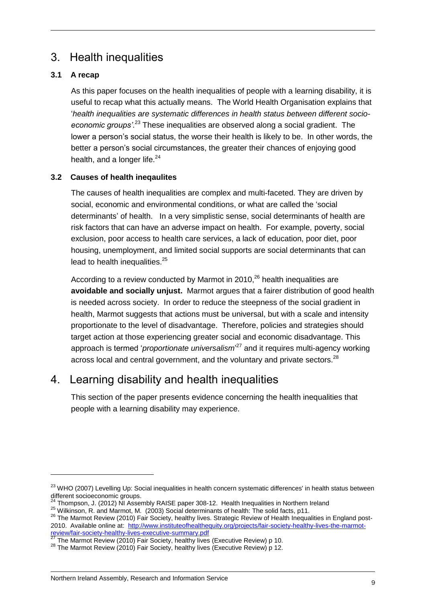### <span id="page-8-0"></span>3. Health inequalities

### <span id="page-8-1"></span>**3.1 A recap**

As this paper focuses on the health inequalities of people with a learning disability, it is useful to recap what this actually means. The World Health Organisation explains that '*health inequalities are systematic differences in health status between different socioeconomic groups'*. <sup>23</sup> These inequalities are observed along a social gradient. The lower a person's social status, the worse their health is likely to be. In other words, the better a person's social circumstances, the greater their chances of enjoying good health, and a longer life. $24$ 

### <span id="page-8-2"></span>**3.2 Causes of health ineqaulites**

The causes of health inequalities are complex and multi-faceted. They are driven by social, economic and environmental conditions, or what are called the 'social determinants' of health. In a very simplistic sense, social determinants of health are risk factors that can have an adverse impact on health. For example, poverty, social exclusion, poor access to health care services, a lack of education, poor diet, poor housing, unemployment, and limited social supports are social determinants that can lead to health inequalities.<sup>25</sup>

According to a review conducted by Marmot in  $2010$ ,  $26$  health inequalities are **avoidable and socially unjust.** Marmot argues that a fairer distribution of good health is needed across society. In order to reduce the steepness of the social gradient in health, Marmot suggests that actions must be universal, but with a scale and intensity proportionate to the level of disadvantage. Therefore, policies and strategies should target action at those experiencing greater social and economic disadvantage. This approach is termed '*proportionate universalism*' <sup>27</sup> and it requires multi-agency working across local and central government, and the voluntary and private sectors. $^{28}$ 

### <span id="page-8-3"></span>4. Learning disability and health inequalities

This section of the paper presents evidence concerning the health inequalities that people with a learning disability may experience.

<sup>&</sup>lt;sup>23</sup> WHO (2007) Levelling Up: Social inequalities in health concern systematic differences' in health status between different socioeconomic groups.

 $24$  Thompson, J. (2012) NI Assembly RAISE paper 308-12. Health Inequalities in Northern Ireland

<sup>&</sup>lt;sup>25</sup> Wilkinson, R. and Marmot, M. (2003) Social determinants of health: The solid facts, p11.

<sup>&</sup>lt;sup>26</sup> The Marmot Review (2010) Fair Society, healthy lives. Strategic Review of Health Inequalities in England post-2010. Available online at: [http://www.instituteofhealthequity.org/projects/fair-society-healthy-lives-the-marmot](http://www.instituteofhealthequity.org/projects/fair-society-healthy-lives-the-marmot-review/fair-society-healthy-lives-executive-summary.pdf)[review/fair-society-healthy-lives-executive-summary.pdf](http://www.instituteofhealthequity.org/projects/fair-society-healthy-lives-the-marmot-review/fair-society-healthy-lives-executive-summary.pdf)<br>27 The Mermat Davisus (2013) =

<sup>27</sup> The Marmot Review (2010) Fair Society, healthy lives (Executive Review) p 10.

 $28$  The Marmot Review (2010) Fair Society, healthy lives (Executive Review) p 12.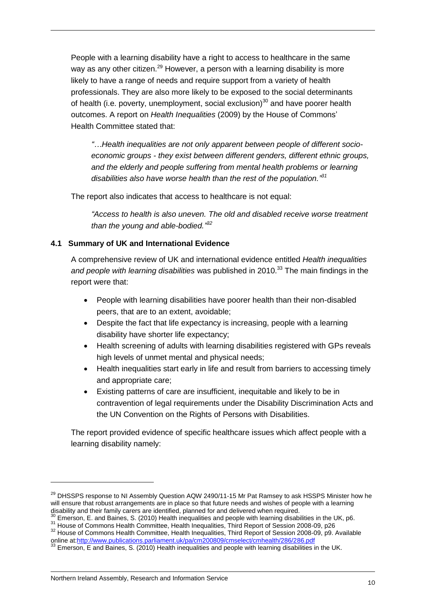People with a learning disability have a right to access to healthcare in the same way as any other citizen.<sup>29</sup> However, a person with a learning disability is more likely to have a range of needs and require support from a variety of health professionals. They are also more likely to be exposed to the social determinants of health (i.e. poverty, unemployment, social exclusion) $30$  and have poorer health outcomes. A report on *Health Inequalities* (2009) by the House of Commons' Health Committee stated that:

*"…Health inequalities are not only apparent between people of different socioeconomic groups - they exist between different genders, different ethnic groups, and the elderly and people suffering from mental health problems or learning disabilities also have worse health than the rest of the population." 31*

The report also indicates that access to healthcare is not equal:

*"Access to health is also uneven. The old and disabled receive worse treatment than the young and able-bodied." 32*

### <span id="page-9-0"></span>**4.1 Summary of UK and International Evidence**

A comprehensive review of UK and international evidence entitled *Health inequalities and people with learning disabilities* was published in 2010. <sup>33</sup> The main findings in the report were that:

- People with learning disabilities have poorer health than their non-disabled peers, that are to an extent, avoidable;
- Despite the fact that life expectancy is increasing, people with a learning disability have shorter life expectancy;
- Health screening of adults with learning disabilities registered with GPs reveals high levels of unmet mental and physical needs;
- Health inequalities start early in life and result from barriers to accessing timely and appropriate care;
- Existing patterns of care are insufficient, inequitable and likely to be in contravention of legal requirements under the Disability Discrimination Acts and the UN Convention on the Rights of Persons with Disabilities.

The report provided evidence of specific healthcare issues which affect people with a learning disability namely:

 $\overline{a}$ 

<sup>&</sup>lt;sup>29</sup> DHSSPS response to NI Assembly Question AQW 2490/11-15 Mr Pat Ramsey to ask HSSPS Minister how he will ensure that robust arrangements are in place so that future needs and wishes of people with a learning disability and their family carers are identified, planned for and delivered when required.

 $30$  Emerson, E. and Baines, S. (2010) Health inequalities and people with learning disabilities in the UK, p6.

<sup>&</sup>lt;sup>31</sup> House of Commons Health Committee, Health Inequalities, Third Report of Session 2008-09, p26  $32$  House of Commons Health Committee, Health Inequalities, Third Report of Session 2008-09, p9. Available online a[t:http://www.publications.parliament.uk/pa/cm200809/cmselect/cmhealth/286/286.pdf](http://www.publications.parliament.uk/pa/cm200809/cmselect/cmhealth/286/286.pdf)

 $33$  Emerson, E and Baines, S. (2010) Health inequalities and people with learning disabilities in the UK.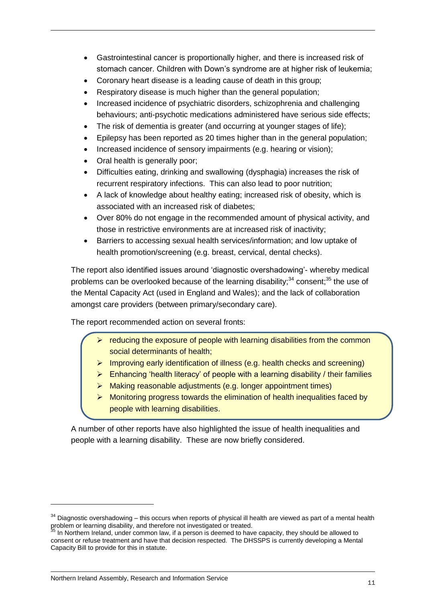- Gastrointestinal cancer is proportionally higher, and there is increased risk of stomach cancer. Children with Down's syndrome are at higher risk of leukemia;
- Coronary heart disease is a leading cause of death in this group;
- Respiratory disease is much higher than the general population:
- Increased incidence of psychiatric disorders, schizophrenia and challenging behaviours; anti-psychotic medications administered have serious side effects;
- The risk of dementia is greater (and occurring at younger stages of life);
- Epilepsy has been reported as 20 times higher than in the general population;
- Increased incidence of sensory impairments (e.g. hearing or vision);
- Oral health is generally poor;
- Difficulties eating, drinking and swallowing (dysphagia) increases the risk of recurrent respiratory infections. This can also lead to poor nutrition;
- A lack of knowledge about healthy eating; increased risk of obesity, which is associated with an increased risk of diabetes;
- Over 80% do not engage in the recommended amount of physical activity, and those in restrictive environments are at increased risk of inactivity;
- Barriers to accessing sexual health services/information; and low uptake of health promotion/screening (e.g. breast, cervical, dental checks).

The report also identified issues around 'diagnostic overshadowing'- whereby medical problems can be overlooked because of the learning disability;<sup>34</sup> consent;<sup>35</sup> the use of the Mental Capacity Act (used in England and Wales); and the lack of collaboration amongst care providers (between primary/secondary care).

The report recommended action on several fronts:

- $\triangleright$  reducing the exposure of people with learning disabilities from the common social determinants of health;
- $\triangleright$  Improving early identification of illness (e.g. health checks and screening)
- $\triangleright$  Enhancing 'health literacy' of people with a learning disability / their families
- > Making reasonable adjustments (e.g. longer appointment times)
- $\triangleright$  Monitoring progress towards the elimination of health inequalities faced by people with learning disabilities.

A number of other reports have also highlighted the issue of health inequalities and people with a learning disability. These are now briefly considered.

 $34$  Diagnostic overshadowing – this occurs when reports of physical ill health are viewed as part of a mental health problem or learning disability, and therefore not investigated or treated.

 $35$  In Northern Ireland, under common law, if a person is deemed to have capacity, they should be allowed to consent or refuse treatment and have that decision respected. The DHSSPS is currently developing a Mental Capacity Bill to provide for this in statute.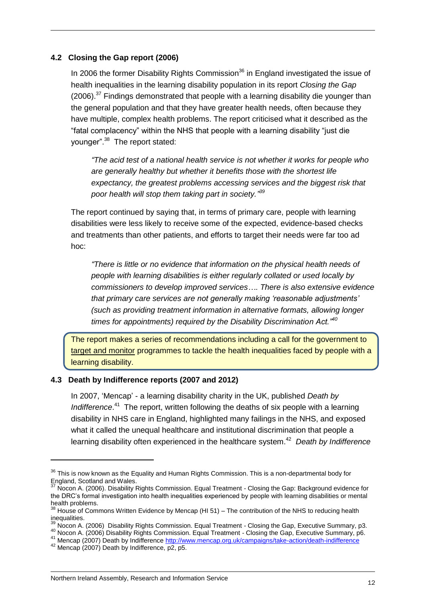#### <span id="page-11-0"></span>**4.2 Closing the Gap report (2006)**

In 2006 the former Disability Rights Commission<sup>36</sup> in England investigated the issue of health inequalities in the learning disability population in its report *Closing the Gap*  $(2006)$ <sup>37</sup> Findings demonstrated that people with a learning disability die younger than the general population and that they have greater health needs, often because they have multiple, complex health problems. The report criticised what it described as the "fatal complacency" within the NHS that people with a learning disability "just die younger".<sup>38</sup> The report stated:

*"The acid test of a national health service is not whether it works for people who are generally healthy but whether it benefits those with the shortest life expectancy, the greatest problems accessing services and the biggest risk that poor health will stop them taking part in society." 39*

The report continued by saying that, in terms of primary care, people with learning disabilities were less likely to receive some of the expected, evidence-based checks and treatments than other patients, and efforts to target their needs were far too ad hoc:

*"There is little or no evidence that information on the physical health needs of people with learning disabilities is either regularly collated or used locally by commissioners to develop improved services…. There is also extensive evidence that primary care services are not generally making 'reasonable adjustments' (such as providing treatment information in alternative formats, allowing longer times for appointments) required by the Disability Discrimination Act."<sup>40</sup>*

The report makes a series of recommendations including a call for the government to target and monitor programmes to tackle the health inequalities faced by people with a learning disability.

#### <span id="page-11-1"></span>**4.3 Death by Indifference reports (2007 and 2012)**

In 2007, 'Mencap' - a learning disability charity in the UK, published *Death by*  Indifference.<sup>41</sup> The report, written following the deaths of six people with a learning disability in NHS care in England, highlighted many failings in the NHS, and exposed what it called the unequal healthcare and institutional discrimination that people a learning disability often experienced in the healthcare system. <sup>42</sup> *Death by Indifference* 

<sup>&</sup>lt;sup>36</sup> This is now known as the [Equality and Human Rights Commission.](http://en.wikipedia.org/wiki/Equality_and_Human_Rights_Commission) This is a non-departmental body for England, Scotland and Wales.

Nocon A. (2006). Disability Rights Commission. Equal Treatment - Closing the Gap: Background evidence for the DRC's formal investigation into health inequalities experienced by people with learning disabilities or mental health problems.

 $38$  House of Commons Written Evidence by Mencap (HI 51) – The contribution of the NHS to reducing health inequalities.

 $\frac{39}{10}$  Nocon A. (2006) Disability Rights Commission. Equal Treatment - Closing the Gap, Executive Summary, p3.

 $^{40}$  Nocon A. (2006) Disability Rights Commission. Equal Treatment - Closing the Gap, Executive Summary, p6.

<sup>41</sup> Mencap (2007) Death by Indifference<http://www.mencap.org.uk/campaigns/take-action/death-indifference>

 $42$  Mencap (2007) Death by Indifference,  $\overline{p2}$ , p5.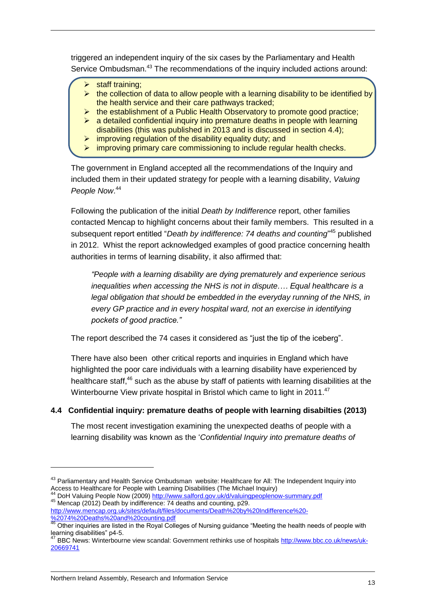triggered an independent inquiry of the six cases by the Parliamentary and Health Service Ombudsman.<sup>43</sup> The recommendations of the inquiry included actions around:

- staff training;
- $\triangleright$  the collection of data to allow people with a learning disability to be identified by the health service and their care pathways tracked;
- $\triangleright$  the establishment of a Public Health Observatory to promote good practice;
- $\triangleright$  a detailed confidential inquiry into premature deaths in people with learning disabilities (this was published in 2013 and is discussed in section 4.4);
- $\triangleright$  improving regulation of the disability equality duty; and
- $\triangleright$  improving primary care commissioning to include regular health checks.

The government in England accepted all the recommendations of the Inquiry and included them in their updated strategy for people with a learning disability, *Valuing People Now*. 44

Following the publication of the initial *Death by Indifference* report, other families contacted Mencap to highlight concerns about their family members. This resulted in a subsequent report entitled "*Death by indifference: 74 deaths and counting*" <sup>45</sup> published in 2012. Whist the report acknowledged examples of good practice concerning health authorities in terms of learning disability, it also affirmed that:

*"People with a learning disability are dying prematurely and experience serious inequalities when accessing the NHS is not in dispute.… Equal healthcare is a legal obligation that should be embedded in the everyday running of the NHS, in every GP practice and in every hospital ward, not an exercise in identifying pockets of good practice."* 

The report described the 74 cases it considered as "just the tip of the iceberg".

There have also been other critical reports and inquiries in England which have highlighted the poor care individuals with a learning disability have experienced by healthcare staff,<sup>46</sup> such as the abuse by staff of patients with learning disabilities at the Winterbourne View private hospital in Bristol which came to light in 2011.<sup>47</sup>

### <span id="page-12-0"></span>**4.4 Confidential inquiry: premature deaths of people with learning disabilties (2013)**

The most recent investigation examining the unexpected deaths of people with a learning disability was known as the '*Confidential Inquiry into premature deaths of* 

<sup>&</sup>lt;sup>43</sup> Parliamentary and Health Service Ombudsman website: Healthcare for All: The Independent Inquiry into Access to Healthcare for People with Learning Disabilities (The Michael Inquiry)

DoH Valuing People Now (2009[\) http://www.salford.gov.uk/d/valuingpeoplenow-summary.pdf](http://www.salford.gov.uk/d/valuingpeoplenow-summary.pdf) <sup>45</sup> Mencap (2012) Death by indifference: 74 deaths and counting, p29.

[http://www.mencap.org.uk/sites/default/files/documents/Death%20by%20Indifference%20-](http://www.mencap.org.uk/sites/default/files/documents/Death%20by%20Indifference%20-%2074%20Deaths%20and%20counting.pdf) [%2074%20Deaths%20and%20counting.pdf](http://www.mencap.org.uk/sites/default/files/documents/Death%20by%20Indifference%20-%2074%20Deaths%20and%20counting.pdf)

<sup>46</sup> Other inquiries are listed in the Royal Colleges of Nursing guidance "Meeting the health needs of people with learning disabilities" p4-5.<br><sup>47</sup> BPC M

BBC News: Winterbourne view scandal: Government rethinks use of hospital[s http://www.bbc.co.uk/news/uk-](http://www.bbc.co.uk/news/uk-20669741)[20669741](http://www.bbc.co.uk/news/uk-20669741)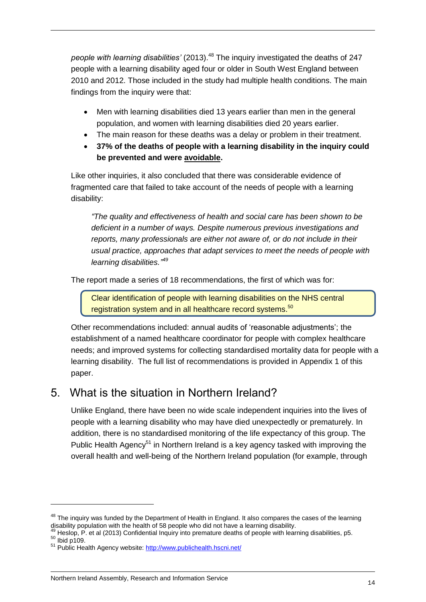*people with learning disabilities'* (2013). <sup>48</sup> The inquiry investigated the deaths of 247 people with a learning disability aged four or older in South West England between 2010 and 2012. Those included in the study had multiple health conditions. The main findings from the inquiry were that:

- Men with learning disabilities died 13 years earlier than men in the general population, and women with learning disabilities died 20 years earlier.
- The main reason for these deaths was a delay or problem in their treatment.
- **37% of the deaths of people with a learning disability in the inquiry could be prevented and were avoidable.**

Like other inquiries, it also concluded that there was considerable evidence of fragmented care that failed to take account of the needs of people with a learning disability:

*"The quality and effectiveness of health and social care has been shown to be deficient in a number of ways. Despite numerous previous investigations and reports, many professionals are either not aware of, or do not include in their usual practice, approaches that adapt services to meet the needs of people with learning disabilities." 49*

The report made a series of 18 recommendations, the first of which was for:

Clear identification of people with learning disabilities on the NHS central registration system and in all healthcare record systems.<sup>50</sup>

Other recommendations included: annual audits of 'reasonable adjustments'; the establishment of a named healthcare coordinator for people with complex healthcare needs; and improved systems for collecting standardised mortality data for people with a learning disability. The full list of recommendations is provided in Appendix 1 of this paper.

### <span id="page-13-0"></span>5. What is the situation in Northern Ireland?

Unlike England, there have been no wide scale independent inquiries into the lives of people with a learning disability who may have died unexpectedly or prematurely. In addition, there is no standardised monitoring of the life expectancy of this group. The Public Health Agency<sup>51</sup> in Northern Ireland is a key agency tasked with improving the overall health and well-being of the Northern Ireland population (for example, through

 $48$  The inquiry was funded by the Department of Health in England. It also compares the cases of the learning disability population with the health of 58 people who did not have a learning disability.

<sup>49</sup> Heslop, P. et al (2013) Confidential Inquiry into premature deaths of people with learning disabilities, p5.

<sup>50</sup> Ibid p109.

<sup>&</sup>lt;sup>51</sup> Public Health Agency website: <http://www.publichealth.hscni.net/>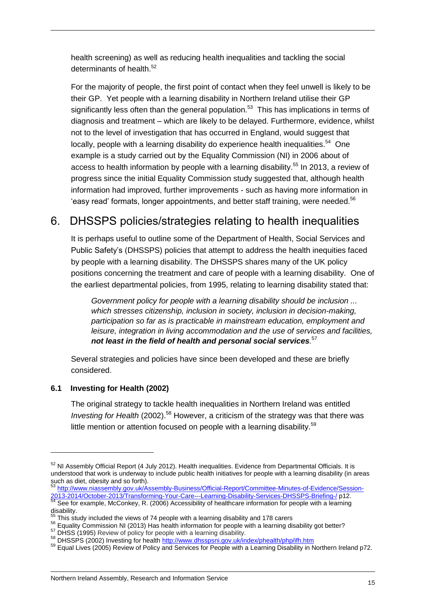health screening) as well as reducing health inequalities and tackling the social determinants of health.<sup>52</sup>

For the majority of people, the first point of contact when they feel unwell is likely to be their GP. Yet people with a learning disability in Northern Ireland utilise their GP significantly less often than the general population.<sup>53</sup> This has implications in terms of diagnosis and treatment – which are likely to be delayed. Furthermore, evidence, whilst not to the level of investigation that has occurred in England, would suggest that locally, people with a learning disability do experience health inequalities.<sup>54</sup> One example is a study carried out by the Equality Commission (NI) in 2006 about of access to health information by people with a learning disability.<sup>55</sup> In 2013, a review of progress since the initial Equality Commission study suggested that, although health information had improved, further improvements - such as having more information in 'easy read' formats, longer appointments, and better staff training, were needed.<sup>56</sup>

### <span id="page-14-0"></span>6. DHSSPS policies/strategies relating to health inequalities

It is perhaps useful to outline some of the Department of Health, Social Services and Public Safety's (DHSSPS) policies that attempt to address the health inequities faced by people with a learning disability. The DHSSPS shares many of the UK policy positions concerning the treatment and care of people with a learning disability. One of the earliest departmental policies, from 1995, relating to learning disability stated that:

*Government policy for people with a learning disability should be inclusion ... which stresses citizenship, inclusion in society, inclusion in decision-making, participation so far as is practicable in mainstream education, employment and leisure, integration in living accommodation and the use of services and facilities, not least in the field of health and personal social services.* 57

Several strategies and policies have since been developed and these are briefly considered.

### <span id="page-14-1"></span>**6.1 Investing for Health (2002)**

The original strategy to tackle health inequalities in Northern Ireland was entitled *Investing for Health* (2002).<sup>58</sup> However, a criticism of the strategy was that there was little mention or attention focused on people with a learning disability. $59$ 

 $52$  NI Assembly Official Report (4 July 2012). Health inequalities. Evidence from Departmental Officials. It is understood that work is underway to include public health initiatives for people with a learning disability (in areas such as diet, obesity and so forth).

[http://www.niassembly.gov.uk/Assembly-Business/Official-Report/Committee-Minutes-of-Evidence/Session-](http://www.niassembly.gov.uk/Assembly-Business/Official-Report/Committee-Minutes-of-Evidence/Session-2013-2014/October-2013/Transforming-Your-Care---Learning-Disability-Services-DHSSPS-Briefing-/)[2013-2014/October-2013/Transforming-Your-Care---Learning-Disability-Services-DHSSPS-Briefing-/](http://www.niassembly.gov.uk/Assembly-Business/Official-Report/Committee-Minutes-of-Evidence/Session-2013-2014/October-2013/Transforming-Your-Care---Learning-Disability-Services-DHSSPS-Briefing-/) p12.  $54$  See for example, McConkey, R. (2006) Accessibility of healthcare information for people with a learning disability.

This study included the views of 74 people with a learning disability and 178 carers

<sup>&</sup>lt;sup>56</sup> Equality Commission NI (2013) Has health information for people with a learning disability got better?

<sup>&</sup>lt;sup>57</sup> DHSS (1995) Review of policy for people with a learning disability.

<sup>58</sup> DHSSPS (2002) Investing for healt[h http://www.dhsspsni.gov.uk/index/phealth/php/ifh.htm](http://www.dhsspsni.gov.uk/index/phealth/php/ifh.htm)

<sup>59</sup> Equal Lives (2005) Review of Policy and Services for People with a Learning Disability in Northern Ireland p72.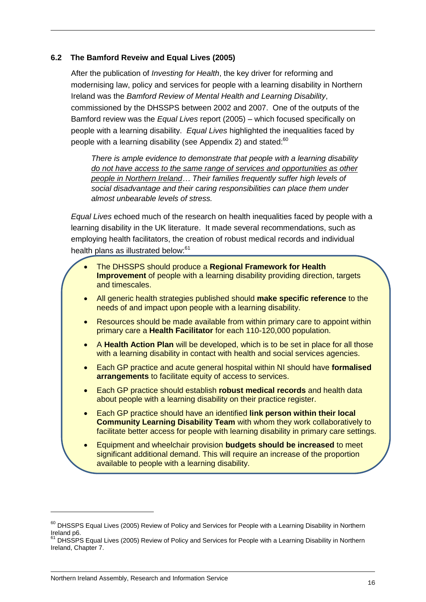### <span id="page-15-0"></span>**6.2 The Bamford Reveiw and Equal Lives (2005)**

After the publication of *Investing for Health*, the key driver for reforming and modernising law, policy and services for people with a learning disability in Northern Ireland was the *Bamford Review of Mental Health and Learning Disability*, commissioned by the DHSSPS between 2002 and 2007. One of the outputs of the Bamford review was the *Equal Lives* report (2005) – which focused specifically on people with a learning disability. *Equal Lives* highlighted the inequalities faced by people with a learning disability (see Appendix 2) and stated:<sup>60</sup>

*There is ample evidence to demonstrate that people with a learning disability do not have access to the same range of services and opportunities as other people in Northern Ireland… Their families frequently suffer high levels of social disadvantage and their caring responsibilities can place them under almost unbearable levels of stress.*

*Equal Lives* echoed much of the research on health inequalities faced by people with a learning disability in the UK literature. It made several recommendations, such as employing health facilitators, the creation of robust medical records and individual health plans as illustrated below:<sup>61</sup>

- The DHSSPS should produce a **Regional Framework for Health Improvement** of people with a learning disability providing direction, targets and timescales.
- All generic health strategies published should **make specific reference** to the needs of and impact upon people with a learning disability.
- Resources should be made available from within primary care to appoint within primary care a **Health Facilitator** for each 110-120,000 population.
- A **Health Action Plan** will be developed, which is to be set in place for all those with a learning disability in contact with health and social services agencies.
- Each GP practice and acute general hospital within NI should have **formalised arrangements** to facilitate equity of access to services.
- Each GP practice should establish **robust medical records** and health data about people with a learning disability on their practice register.
- Each GP practice should have an identified **link person within their local Community Learning Disability Team** with whom they work collaboratively to facilitate better access for people with learning disability in primary care settings.
- Equipment and wheelchair provision **budgets should be increased** to meet significant additional demand. This will require an increase of the proportion available to people with a learning disability.

<sup>&</sup>lt;sup>60</sup> DHSSPS Equal Lives (2005) Review of Policy and Services for People with a Learning Disability in Northern Ireland p6.

<sup>61</sup> DHSSPS Equal Lives (2005) Review of Policy and Services for People with a Learning Disability in Northern Ireland, Chapter 7.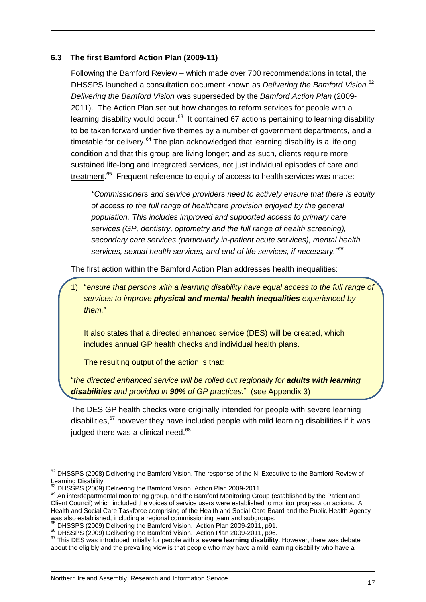#### <span id="page-16-0"></span>**6.3 The first Bamford Action Plan (2009-11)**

Following the Bamford Review – which made over 700 recommendations in total, the DHSSPS launched a consultation document known as *Delivering the Bamford Vision.* 62 *Delivering the Bamford Vision* was superseded by the *Bamford Action Plan* (2009- 2011). The Action Plan set out how changes to reform services for people with a learning disability would occur.<sup>63</sup> It contained 67 actions pertaining to learning disability to be taken forward under five themes by a number of government departments, and a timetable for delivery.<sup>64</sup> The plan acknowledged that learning disability is a lifelong condition and that this group are living longer; and as such, clients require more sustained life-long and integrated services, not just individual episodes of care and treatment.<sup>65</sup> Frequent reference to equity of access to health services was made:

*"Commissioners and service providers need to actively ensure that there is equity of access to the full range of healthcare provision enjoyed by the general population. This includes improved and supported access to primary care services (GP, dentistry, optometry and the full range of health screening), secondary care services (particularly in-patient acute services), mental health services, sexual health services, and end of life services, if necessary." 66*

The first action within the Bamford Action Plan addresses health inequalities:

1) "*ensure that persons with a learning disability have equal access to the full range of services to improve physical and mental health inequalities experienced by them.*"

It also states that a directed enhanced service (DES) will be created, which includes annual GP health checks and individual health plans.

The resulting output of the action is that:

"*the directed enhanced service will be rolled out regionally for adults with learning disabilities and provided in 90% of GP practices.*" (see Appendix 3)

The DES GP health checks were originally intended for people with severe learning disabilities,<sup>67</sup> however they have included people with mild learning disabilities if it was judged there was a clinical need.<sup>68</sup>

<sup>&</sup>lt;sup>62</sup> DHSSPS (2008) Delivering the Bamford Vision. The response of the NI Executive to the Bamford Review of Learning Disability

DHSSPS (2009) Delivering the Bamford Vision. Action Plan 2009-2011

<sup>&</sup>lt;sup>64</sup> An interdepartmental monitoring group, and the Bamford Monitoring Group (established by the Patient and Client Council) which included the voices of service users were established to monitor progress on actions. A Health and Social Care Taskforce comprising of the Health and Social Care Board and the Public Health Agency was also established, including a regional commissioning team and subgroups.

DHSSPS (2009) Delivering the Bamford Vision. Action Plan 2009-2011, p91.

<sup>66</sup> DHSSPS (2009) Delivering the Bamford Vision. Action Plan 2009-2011, p96.

<sup>67</sup> This DES was introduced initially for people with a **severe learning disability**. However, there was debate about the eligibly and the prevailing view is that people who may have a mild learning disability who have a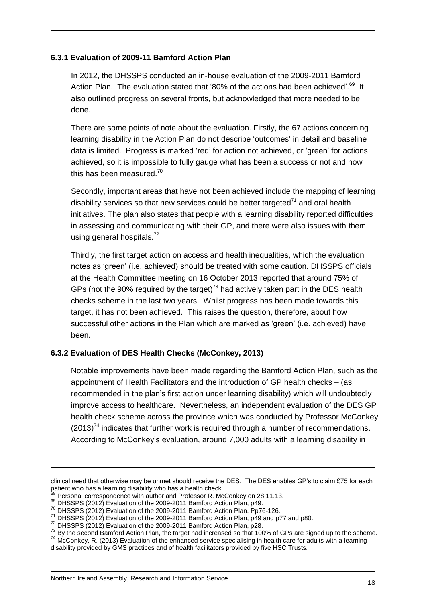#### **6.3.1 Evaluation of 2009-11 Bamford Action Plan**

In 2012, the DHSSPS conducted an in-house evaluation of the 2009-2011 Bamford Action Plan. The evaluation stated that '80% of the actions had been achieved'.<sup>69</sup> It also outlined progress on several fronts, but acknowledged that more needed to be done.

There are some points of note about the evaluation. Firstly, the 67 actions concerning learning disability in the Action Plan do not describe 'outcomes' in detail and baseline data is limited. Progress is marked 'red' for action not achieved, or 'green' for actions achieved, so it is impossible to fully gauge what has been a success or not and how this has been measured.<sup>70</sup>

Secondly, important areas that have not been achieved include the mapping of learning disability services so that new services could be better targeted<sup>71</sup> and oral health initiatives. The plan also states that people with a learning disability reported difficulties in assessing and communicating with their GP, and there were also issues with them using general hospitals.<sup>72</sup>

Thirdly, the first target action on access and health inequalities, which the evaluation notes as 'green' (i.e. achieved) should be treated with some caution. DHSSPS officials at the Health Committee meeting on 16 October 2013 reported that around 75% of GPs (not the 90% required by the target)<sup>73</sup> had actively taken part in the DES health checks scheme in the last two years. Whilst progress has been made towards this target, it has not been achieved. This raises the question, therefore, about how successful other actions in the Plan which are marked as 'green' (i.e. achieved) have been.

#### **6.3.2 Evaluation of DES Health Checks (McConkey, 2013)**

Notable improvements have been made regarding the Bamford Action Plan, such as the appointment of Health Facilitators and the introduction of GP health checks – (as recommended in the plan's first action under learning disability) which will undoubtedly improve access to healthcare. Nevertheless, an independent evaluation of the DES GP health check scheme across the province which was conducted by Professor McConkey  $(2013)^{74}$  indicates that further work is required through a number of recommendations. According to McConkey's evaluation, around 7,000 adults with a learning disability in

clinical need that otherwise may be unmet should receive the DES. The DES enables GP's to claim £75 for each patient who has a learning disability who has a health check.

Personal correspondence with author and Professor R. McConkey on 28.11.13.

<sup>&</sup>lt;sup>69</sup> DHSSPS (2012) Evaluation of the 2009-2011 Bamford Action Plan, p49.

<sup>70</sup> DHSSPS (2012) Evaluation of the 2009-2011 Bamford Action Plan. Pp76-126.

<sup>71</sup> DHSSPS (2012) Evaluation of the 2009-2011 Bamford Action Plan, p49 and p77 and p80.

<sup>72</sup> DHSSPS (2012) Evaluation of the 2009-2011 Bamford Action Plan, p28.

<sup>73</sup> By the second Bamford Action Plan, the target had increased so that 100% of GPs are signed up to the scheme.

<sup>74</sup> McConkey, R. (2013) Evaluation of the enhanced service specialising in health care for adults with a learning disability provided by GMS practices and of health facilitators provided by five HSC Trusts.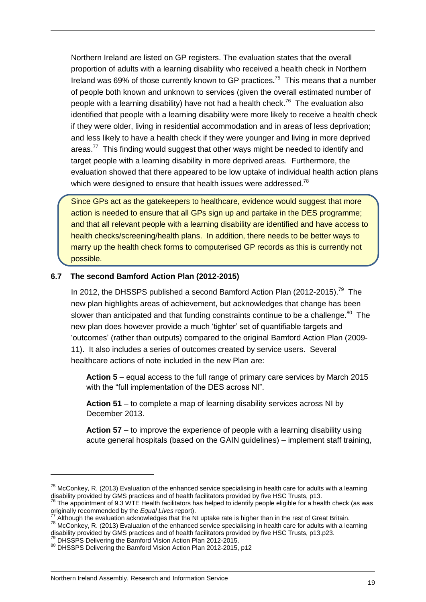Northern Ireland are listed on GP registers. The evaluation states that the overall proportion of adults with a learning disability who received a health check in Northern Ireland was 69% of those currently known to GP practices**.** <sup>75</sup> This means that a number of people both known and unknown to services (given the overall estimated number of people with a learning disability) have not had a health check.<sup>76</sup> The evaluation also identified that people with a learning disability were more likely to receive a health check if they were older, living in residential accommodation and in areas of less deprivation; and less likely to have a health check if they were younger and living in more deprived areas.<sup>77</sup> This finding would suggest that other ways might be needed to identify and target people with a learning disability in more deprived areas. Furthermore, the evaluation showed that there appeared to be low uptake of individual health action plans which were designed to ensure that health issues were addressed.<sup>78</sup>

Since GPs act as the gatekeepers to healthcare, evidence would suggest that more action is needed to ensure that all GPs sign up and partake in the DES programme; and that all relevant people with a learning disability are identified and have access to health checks/screening/health plans. In addition, there needs to be better ways to marry up the health check forms to computerised GP records as this is currently not possible.

#### <span id="page-18-0"></span>**6.7 The second Bamford Action Plan (2012-2015)**

In 2012, the DHSSPS published a second Bamford Action Plan  $(2012-2015).<sup>79</sup>$  The new plan highlights areas of achievement, but acknowledges that change has been slower than anticipated and that funding constraints continue to be a challenge. $^{80}$  The new plan does however provide a much 'tighter' set of quantifiable targets and 'outcomes' (rather than outputs) compared to the original Bamford Action Plan (2009- 11). It also includes a series of outcomes created by service users. Several healthcare actions of note included in the new Plan are:

**Action 5** – equal access to the full range of primary care services by March 2015 with the "full implementation of the DES across NI".

**Action 51** – to complete a map of learning disability services across NI by December 2013.

**Action 57** – to improve the experience of people with a learning disability using acute general hospitals (based on the GAIN guidelines) – implement staff training,

 $75$  McConkey, R. (2013) Evaluation of the enhanced service specialising in health care for adults with a learning disability provided by GMS practices and of health facilitators provided by five HSC Trusts, p13.

 $^{76}$  The appointment of 9.3 WTE Health facilitators has helped to identify people eligible for a health check (as was originally recommended by the *Equal Lives* report).

 $^{77}$  Although the evaluation acknowledges that the NI uptake rate is higher than in the rest of Great Britain.

 $^{78}$  McConkey, R. (2013) Evaluation of the enhanced service specialising in health care for adults with a learning disability provided by GMS practices and of health facilitators provided by five HSC Trusts, p13.p23.

 $^{79}$  DHSSPS Delivering the Bamford Vision Action Plan 2012-2015. 80 DHSSPS Delivering the Bamford Vision Action Plan 2012-2015, p12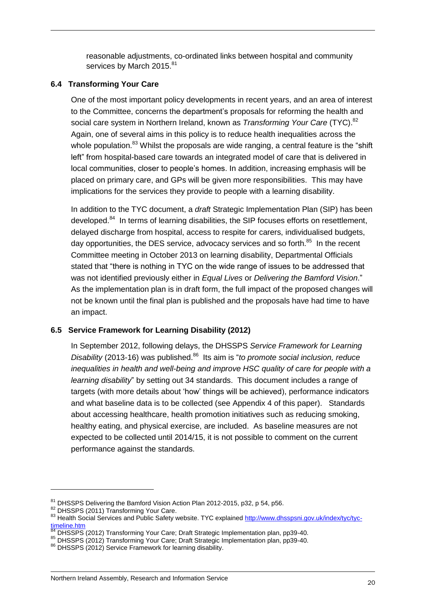reasonable adjustments, co-ordinated links between hospital and community services by March 2015.<sup>81</sup>

### <span id="page-19-0"></span>**6.4 Transforming Your Care**

One of the most important policy developments in recent years, and an area of interest to the Committee, concerns the department's proposals for reforming the health and social care system in Northern Ireland, known as *Transforming Your Care* (TYC).<sup>82</sup> Again, one of several aims in this policy is to reduce health inequalities across the whole population.<sup>83</sup> Whilst the proposals are wide ranging, a central feature is the "shift left" from hospital-based care towards an integrated model of care that is delivered in local communities, closer to people's homes. In addition, increasing emphasis will be placed on primary care, and GPs will be given more responsibilities. This may have implications for the services they provide to people with a learning disability.

In addition to the TYC document, a *draft* Strategic Implementation Plan (SIP) has been developed.<sup>84</sup> In terms of learning disabilities, the SIP focuses efforts on resettlement, delayed discharge from hospital, access to respite for carers, individualised budgets, day opportunities, the DES service, advocacy services and so forth.<sup>85</sup> In the recent Committee meeting in October 2013 on learning disability, Departmental Officials stated that "there is nothing in TYC on the wide range of issues to be addressed that was not identified previously either in *Equal Lives* or *Delivering the Bamford Vision*." As the implementation plan is in draft form, the full impact of the proposed changes will not be known until the final plan is published and the proposals have had time to have an impact.

### <span id="page-19-1"></span>**6.5 Service Framework for Learning Disability (2012)**

In September 2012, following delays, the DHSSPS *Service Framework for Learning Disability* (2013-16) was published.<sup>86</sup> Its aim is "*to promote social inclusion, reduce inequalities in health and well-being and improve HSC quality of care for people with a learning disability*" by setting out 34 standards. This document includes a range of targets (with more details about 'how' things will be achieved), performance indicators and what baseline data is to be collected (see Appendix 4 of this paper). Standards about accessing healthcare, health promotion initiatives such as reducing smoking, healthy eating, and physical exercise, are included. As baseline measures are not expected to be collected until 2014/15, it is not possible to comment on the current performance against the standards.

<sup>&</sup>lt;sup>81</sup> DHSSPS Delivering the Bamford Vision Action Plan 2012-2015, p32, p 54, p56.

<sup>&</sup>lt;sup>82</sup> DHSSPS (2011) Transforming Your Care.

<sup>83</sup> Health Social Services and Public Safety website. TYC explained [http://www.dhsspsni.gov.uk/index/tyc/tyc](http://www.dhsspsni.gov.uk/index/tyc/tyc-timeline.htm) $t$  [timeline.htm](http://www.dhsspsni.gov.uk/index/tyc/tyc-timeline.htm)

<sup>84</sup> DHSSPS (2012) Transforming Your Care; Draft Strategic Implementation plan, pp39-40.

<sup>85</sup> DHSSPS (2012) Transforming Your Care; Draft Strategic Implementation plan, pp39-40.

<sup>86</sup> DHSSPS (2012) Service Framework for learning disability.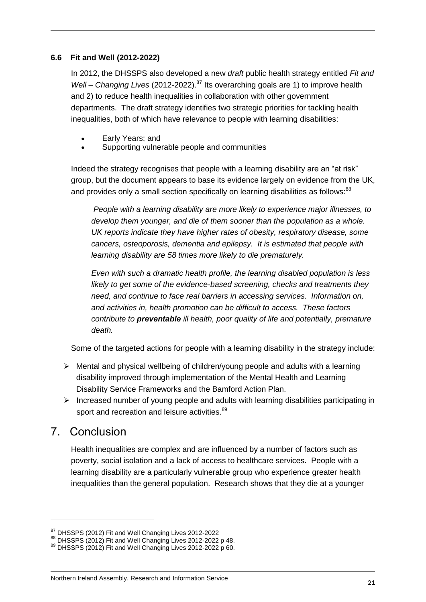#### <span id="page-20-0"></span>**6.6 Fit and Well (2012-2022)**

In 2012, the DHSSPS also developed a new *draft* public health strategy entitled *Fit and Well – Changing Lives* (2012-2022).<sup>87</sup> Its overarching goals are 1) to improve health and 2) to reduce health inequalities in collaboration with other government departments. The draft strategy identifies two strategic priorities for tackling health inequalities, both of which have relevance to people with learning disabilities:

- Early Years; and
- Supporting vulnerable people and communities

Indeed the strategy recognises that people with a learning disability are an "at risk" group, but the document appears to base its evidence largely on evidence from the UK, and provides only a small section specifically on learning disabilities as follows:<sup>88</sup>

*People with a learning disability are more likely to experience major illnesses, to develop them younger, and die of them sooner than the population as a whole. UK reports indicate they have higher rates of obesity, respiratory disease, some cancers, osteoporosis, dementia and epilepsy. It is estimated that people with learning disability are 58 times more likely to die prematurely.*

*Even with such a dramatic health profile, the learning disabled population is less likely to get some of the evidence-based screening, checks and treatments they need, and continue to face real barriers in accessing services. Information on, and activities in, health promotion can be difficult to access. These factors contribute to preventable ill health, poor quality of life and potentially, premature death.*

Some of the targeted actions for people with a learning disability in the strategy include:

- $\triangleright$  Mental and physical wellbeing of children/young people and adults with a learning disability improved through implementation of the Mental Health and Learning Disability Service Frameworks and the Bamford Action Plan.
- $\triangleright$  Increased number of young people and adults with learning disabilities participating in sport and recreation and leisure activities.<sup>89</sup>

### <span id="page-20-1"></span>7. Conclusion

 $\overline{a}$ 

Health inequalities are complex and are influenced by a number of factors such as poverty, social isolation and a lack of access to healthcare services. People with a learning disability are a particularly vulnerable group who experience greater health inequalities than the general population. Research shows that they die at a younger

<sup>&</sup>lt;sup>87</sup> DHSSPS (2012) Fit and Well Changing Lives 2012-2022

<sup>88</sup> DHSSPS (2012) Fit and Well Changing Lives 2012-2022 p 48.

<sup>89</sup> DHSSPS (2012) Fit and Well Changing Lives 2012-2022 p 60.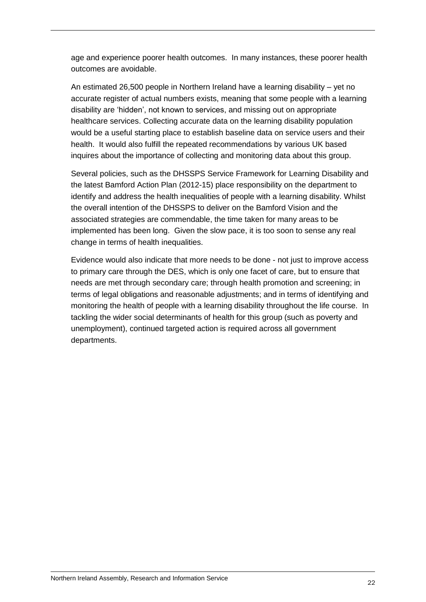age and experience poorer health outcomes. In many instances, these poorer health outcomes are avoidable.

An estimated 26,500 people in Northern Ireland have a learning disability – yet no accurate register of actual numbers exists, meaning that some people with a learning disability are 'hidden', not known to services, and missing out on appropriate healthcare services. Collecting accurate data on the learning disability population would be a useful starting place to establish baseline data on service users and their health. It would also fulfill the repeated recommendations by various UK based inquires about the importance of collecting and monitoring data about this group.

Several policies, such as the DHSSPS Service Framework for Learning Disability and the latest Bamford Action Plan (2012-15) place responsibility on the department to identify and address the health inequalities of people with a learning disability. Whilst the overall intention of the DHSSPS to deliver on the Bamford Vision and the associated strategies are commendable, the time taken for many areas to be implemented has been long. Given the slow pace, it is too soon to sense any real change in terms of health inequalities.

Evidence would also indicate that more needs to be done - not just to improve access to primary care through the DES, which is only one facet of care, but to ensure that needs are met through secondary care; through health promotion and screening; in terms of legal obligations and reasonable adjustments; and in terms of identifying and monitoring the health of people with a learning disability throughout the life course. In tackling the wider social determinants of health for this group (such as poverty and unemployment), continued targeted action is required across all government departments.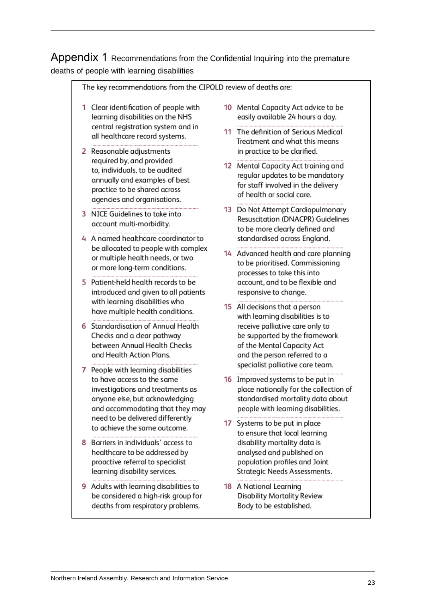<span id="page-22-0"></span>Appendix 1 Recommendations from the Confidential Inquiring into the premature deaths of people with learning disabilities

| The key recommendations from the CIPOLD review of deaths are: |                                                                                                                                                                                                                                                                                                                                                                                          |  |                                                                                                                                                                                                                                                                                                                                                                |  |  |
|---------------------------------------------------------------|------------------------------------------------------------------------------------------------------------------------------------------------------------------------------------------------------------------------------------------------------------------------------------------------------------------------------------------------------------------------------------------|--|----------------------------------------------------------------------------------------------------------------------------------------------------------------------------------------------------------------------------------------------------------------------------------------------------------------------------------------------------------------|--|--|
| 1.                                                            | Clear identification of people with<br>learning disabilities on the NHS<br>central registration system and in<br>all healthcare record systems.<br>Reasonable adjustments<br>required by, and provided<br>to, individuals, to be audited<br>annually and examples of best<br>practice to be shared across<br>agencies and organisations.                                                 |  | 10 Mental Capacity Act advice to be<br>easily available 24 hours a day.                                                                                                                                                                                                                                                                                        |  |  |
|                                                               |                                                                                                                                                                                                                                                                                                                                                                                          |  | 11 The definition of Serious Medical<br>Treatment and what this means<br>in practice to be clarified.<br>12 Mental Capacity Act training and<br>regular updates to be mandatory<br>for staff involved in the delivery<br>of health or social care.<br>13 Do Not Attempt Cardiopulmonary<br>Resuscitation (DNACPR) Guidelines<br>to be more clearly defined and |  |  |
|                                                               |                                                                                                                                                                                                                                                                                                                                                                                          |  |                                                                                                                                                                                                                                                                                                                                                                |  |  |
| 3.                                                            | NICE Guidelines to take into<br>account multi-morbidity.                                                                                                                                                                                                                                                                                                                                 |  |                                                                                                                                                                                                                                                                                                                                                                |  |  |
|                                                               | 4 A named healthcare coordinator to<br>be allocated to people with complex<br>or multiple health needs, or two<br>or more long-term conditions.                                                                                                                                                                                                                                          |  | standardised across England.<br>14 Advanced health and care planning<br>to be prioritised. Commissioning<br>processes to take this into                                                                                                                                                                                                                        |  |  |
|                                                               | 5 Patient-held health records to be<br>introduced and given to all patients<br>with learning disabilities who<br>have multiple health conditions.<br>6 Standardisation of Annual Health<br>Checks and a clear pathway<br>between Annual Health Checks<br>and Health Action Plans.                                                                                                        |  | account, and to be flexible and<br>responsive to change.                                                                                                                                                                                                                                                                                                       |  |  |
|                                                               |                                                                                                                                                                                                                                                                                                                                                                                          |  | 15 All decisions that a person<br>with learning disabilities is to                                                                                                                                                                                                                                                                                             |  |  |
|                                                               |                                                                                                                                                                                                                                                                                                                                                                                          |  | receive palliative care only to<br>be supported by the framework<br>of the Mental Capacity Act<br>and the person referred to a                                                                                                                                                                                                                                 |  |  |
| 7                                                             | People with learning disabilities<br>to have access to the same<br>investigations and treatments as<br>anyone else, but acknowledging<br>and accommodating that they may<br>need to be delivered differently<br>to achieve the same outcome.<br>Barriers in individuals' access to<br>healthcare to be addressed by<br>proactive referral to specialist<br>learning disability services. |  | specialist palliative care team.<br>16 Improved systems to be put in                                                                                                                                                                                                                                                                                           |  |  |
|                                                               |                                                                                                                                                                                                                                                                                                                                                                                          |  | place nationally for the collection of<br>standardised mortality data about<br>people with learning disabilities.                                                                                                                                                                                                                                              |  |  |
|                                                               |                                                                                                                                                                                                                                                                                                                                                                                          |  | 17 Systems to be put in place<br>to ensure that local learning                                                                                                                                                                                                                                                                                                 |  |  |
| 8                                                             |                                                                                                                                                                                                                                                                                                                                                                                          |  | disability mortality data is<br>analysed and published on<br>population profiles and Joint<br>Strategic Needs Assessments.                                                                                                                                                                                                                                     |  |  |
| 9                                                             | Adults with learning disabilities to<br>be considered a high-risk group for<br>deaths from respiratory problems.                                                                                                                                                                                                                                                                         |  | 18 A National Learning<br><b>Disability Mortality Review</b><br>Body to be established.                                                                                                                                                                                                                                                                        |  |  |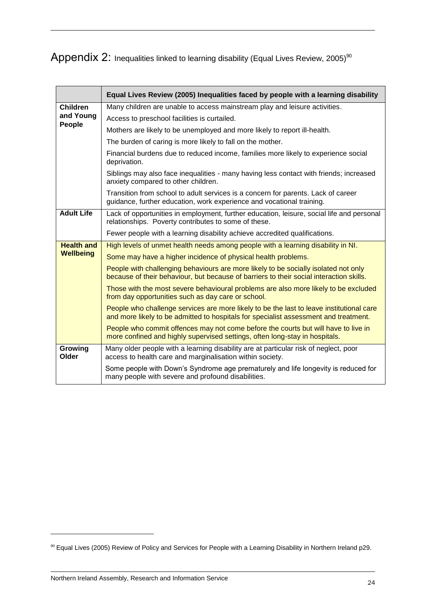### <span id="page-23-0"></span> $\mathsf{Appendix}\ 2$ : Inequalities linked to learning disability (Equal Lives Review, 2005) $^\mathsf{so}$

|                     | Equal Lives Review (2005) Inequalities faced by people with a learning disability                                                                                                |  |  |  |  |  |
|---------------------|----------------------------------------------------------------------------------------------------------------------------------------------------------------------------------|--|--|--|--|--|
| <b>Children</b>     | Many children are unable to access mainstream play and leisure activities.                                                                                                       |  |  |  |  |  |
| and Young<br>People | Access to preschool facilities is curtailed.                                                                                                                                     |  |  |  |  |  |
|                     | Mothers are likely to be unemployed and more likely to report ill-health.                                                                                                        |  |  |  |  |  |
|                     | The burden of caring is more likely to fall on the mother.                                                                                                                       |  |  |  |  |  |
|                     | Financial burdens due to reduced income, families more likely to experience social<br>deprivation.                                                                               |  |  |  |  |  |
|                     | Siblings may also face inequalities - many having less contact with friends; increased<br>anxiety compared to other children.                                                    |  |  |  |  |  |
|                     | Transition from school to adult services is a concern for parents. Lack of career<br>guidance, further education, work experience and vocational training.                       |  |  |  |  |  |
| <b>Adult Life</b>   | Lack of opportunities in employment, further education, leisure, social life and personal<br>relationships. Poverty contributes to some of these.                                |  |  |  |  |  |
|                     | Fewer people with a learning disability achieve accredited qualifications.                                                                                                       |  |  |  |  |  |
| <b>Health and</b>   | High levels of unmet health needs among people with a learning disability in NI.                                                                                                 |  |  |  |  |  |
| <b>Wellbeing</b>    | Some may have a higher incidence of physical health problems.                                                                                                                    |  |  |  |  |  |
|                     | People with challenging behaviours are more likely to be socially isolated not only<br>because of their behaviour, but because of barriers to their social interaction skills.   |  |  |  |  |  |
|                     | Those with the most severe behavioural problems are also more likely to be excluded<br>from day opportunities such as day care or school.                                        |  |  |  |  |  |
|                     | People who challenge services are more likely to be the last to leave institutional care<br>and more likely to be admitted to hospitals for specialist assessment and treatment. |  |  |  |  |  |
|                     | People who commit offences may not come before the courts but will have to live in<br>more confined and highly supervised settings, often long-stay in hospitals.                |  |  |  |  |  |
| Growing<br>Older    | Many older people with a learning disability are at particular risk of neglect, poor<br>access to health care and marginalisation within society.                                |  |  |  |  |  |
|                     | Some people with Down's Syndrome age prematurely and life longevity is reduced for<br>many people with severe and profound disabilities.                                         |  |  |  |  |  |

 $\overline{a}$ 

<sup>&</sup>lt;sup>90</sup> Equal Lives (2005) Review of Policy and Services for People with a Learning Disability in Northern Ireland p29.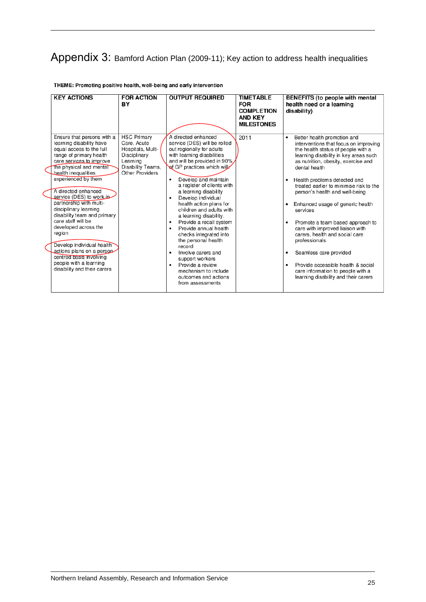### <span id="page-24-0"></span>Appendix 3: Bamford Action Plan (2009-11); Key action to address health inequalities

| <b>KEY ACTIONS</b>                                                                                                                                                                                                                                                                                                                                                                                                                                                                                                                                            | <b>FOR ACTION</b><br>BY                                                                                                           | <b>OUTPUT REQUIRED</b>                                                                                                                                                                                                                                                                                                                                                                                                                                                                                                                                                                                                                                      | <b>TIMETABLE</b><br><b>FOR</b><br><b>COMPLETION</b><br><b>AND KEY</b><br><b>MILESTONES</b> | BENEFITS (to people with mental<br>health need or a learning<br>disability)                                                                                                                                                                                                                                                                                                                                                                                                                                                                                                                                                                                                                   |
|---------------------------------------------------------------------------------------------------------------------------------------------------------------------------------------------------------------------------------------------------------------------------------------------------------------------------------------------------------------------------------------------------------------------------------------------------------------------------------------------------------------------------------------------------------------|-----------------------------------------------------------------------------------------------------------------------------------|-------------------------------------------------------------------------------------------------------------------------------------------------------------------------------------------------------------------------------------------------------------------------------------------------------------------------------------------------------------------------------------------------------------------------------------------------------------------------------------------------------------------------------------------------------------------------------------------------------------------------------------------------------------|--------------------------------------------------------------------------------------------|-----------------------------------------------------------------------------------------------------------------------------------------------------------------------------------------------------------------------------------------------------------------------------------------------------------------------------------------------------------------------------------------------------------------------------------------------------------------------------------------------------------------------------------------------------------------------------------------------------------------------------------------------------------------------------------------------|
| Ensure that persons with a<br>learning disability have<br>equal access to the full<br>range of primary health<br>care services to improve<br>the physical and mental<br>health inequalities<br>experienced by them<br>A directed enhanced<br>service (DES) to workin<br>partnership with multi-<br>disciplinary learning<br>disability team and primary<br>care staff will be<br>developed across the<br>region<br>Develop individual health<br>actions plans on a person<br>centred basis involving<br>people with a learning<br>disability and their carers | <b>HSC Primary</b><br>Care, Acute<br>Hospitals, Multi-<br>Disciplinary<br>Learning<br>Disability Teams,<br><b>Other Providers</b> | A directed enhanced<br>service (DES) will be rolled<br>out regionally for adults<br>with learning disabilities<br>and will be provided in 90%/<br>Af GP practices which will<br>Develop and maintain<br>٠<br>a register of clients with<br>a learning disability<br>Develop individual<br>٠<br>health action plans for<br>children and adults with<br>a learning disability.<br>Provide a recall system<br>٠<br>Provide annual health<br>$\bullet$<br>checks integrated into<br>the personal health<br>record<br>Involve carers and<br>support workers<br>Provide a review<br>$\bullet$<br>mechanism to include<br>outcomes and actions<br>from assessments | 2011                                                                                       | Better health promotion and<br>٠<br>interventions that focus on improving<br>the health status of people with a<br>learning disability in key areas such<br>as nutrition, obesity, exercise and<br>dental health<br>Health problems detected and<br>٠<br>treated earlier to minimise risk to the<br>person's health and well-being<br>Enhanced usage of generic health<br>٠<br>services<br>Promote a team based approach to<br>$\bullet$<br>care with improved liaison with<br>carers, health and social care<br>professionals<br>Seamless care provided<br>٠<br>Provide accessible health & social<br>$\bullet$<br>care information to people with a<br>learning disability and their carers |

#### THEME: Promoting positive health, well-being and early intervention